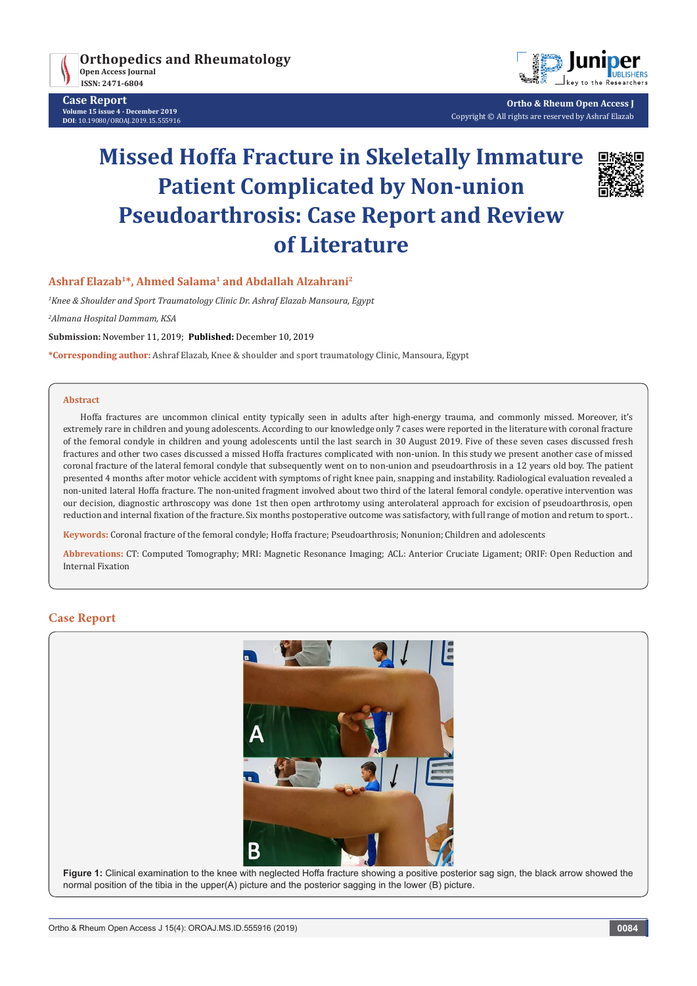

**Case Report Volume 15 issue 4 - December 2019 DOI**: [10.19080/OROAJ.2019.15.555916](http://dx.doi.org/10.19080/OROAJ.2019.15.555916)



**Ortho & Rheum Open Access J** Copyright © All rights are reserved by Ashraf Elazab

# **Missed Hoffa Fracture in Skeletally Immature Patient Complicated by Non-union Pseudoarthrosis: Case Report and Review of Literature**



# **Ashraf Elazab1\*, Ahmed Salama1 and Abdallah Alzahrani2**

*1 Knee & Shoulder and Sport Traumatology Clinic Dr. Ashraf Elazab Mansoura, Egypt*

*2 Almana Hospital Dammam, KSA*

**Submission:** November 11, 2019; **Published:** December 10, 2019

**\*Corresponding author:** Ashraf Elazab, Knee & shoulder and sport traumatology Clinic, Mansoura, Egypt

#### **Abstract**

Hoffa fractures are uncommon clinical entity typically seen in adults after high-energy trauma, and commonly missed. Moreover, it's extremely rare in children and young adolescents. According to our knowledge only 7 cases were reported in the literature with coronal fracture of the femoral condyle in children and young adolescents until the last search in 30 August 2019. Five of these seven cases discussed fresh fractures and other two cases discussed a missed Hoffa fractures complicated with non-union. In this study we present another case of missed coronal fracture of the lateral femoral condyle that subsequently went on to non-union and pseudoarthrosis in a 12 years old boy. The patient presented 4 months after motor vehicle accident with symptoms of right knee pain, snapping and instability. Radiological evaluation revealed a non-united lateral Hoffa fracture. The non-united fragment involved about two third of the lateral femoral condyle. operative intervention was our decision, diagnostic arthroscopy was done 1st then open arthrotomy using anterolateral approach for excision of pseudoarthrosis, open reduction and internal fixation of the fracture. Six months postoperative outcome was satisfactory, with full range of motion and return to sport. .

**Keywords:** Coronal fracture of the femoral condyle; Hoffa fracture; Pseudoarthrosis; Nonunion; Children and adolescents

**Abbrevations:** CT: Computed Tomography; MRI: Magnetic Resonance Imaging; ACL: Anterior Cruciate Ligament; ORIF: Open Reduction and Internal Fixation

#### **Case Report**



**Figure 1:** Clinical examination to the knee with neglected Hoffa fracture showing a positive posterior sag sign, the black arrow showed the normal position of the tibia in the upper(A) picture and the posterior sagging in the lower (B) picture.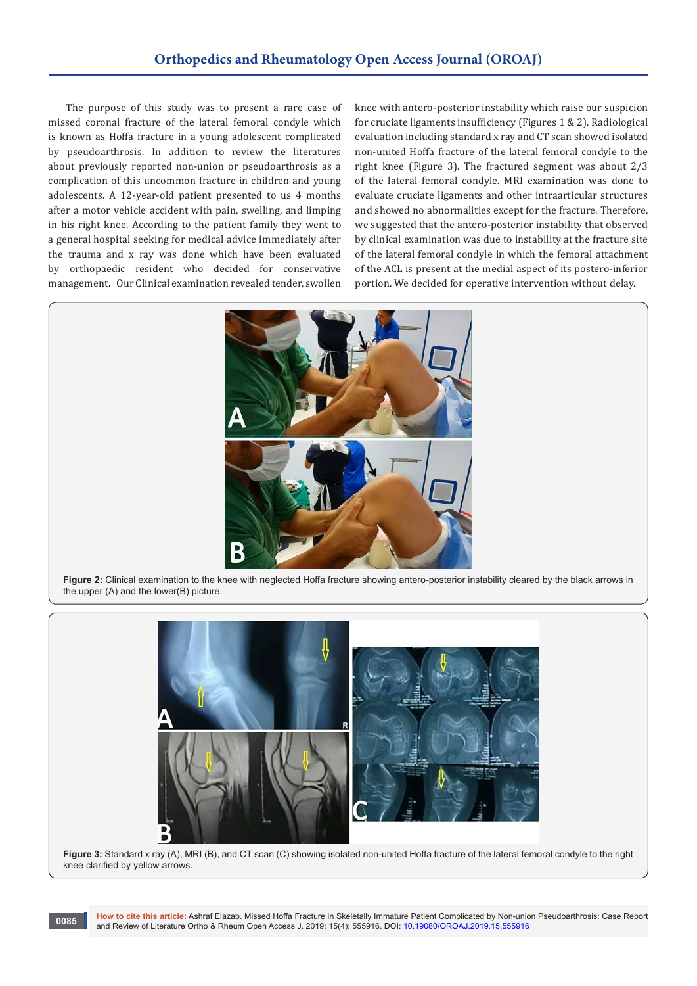The purpose of this study was to present a rare case of missed coronal fracture of the lateral femoral condyle which is known as Hoffa fracture in a young adolescent complicated by pseudoarthrosis. In addition to review the literatures about previously reported non-union or pseudoarthrosis as a complication of this uncommon fracture in children and young adolescents. A 12-year-old patient presented to us 4 months after a motor vehicle accident with pain, swelling, and limping in his right knee. According to the patient family they went to a general hospital seeking for medical advice immediately after the trauma and x ray was done which have been evaluated by orthopaedic resident who decided for conservative management. Our Clinical examination revealed tender, swollen knee with antero-posterior instability which raise our suspicion for cruciate ligaments insufficiency (Figures 1 & 2). Radiological evaluation including standard x ray and CT scan showed isolated non-united Hoffa fracture of the lateral femoral condyle to the right knee (Figure 3). The fractured segment was about 2/3 of the lateral femoral condyle. MRI examination was done to evaluate cruciate ligaments and other intraarticular structures and showed no abnormalities except for the fracture. Therefore, we suggested that the antero-posterior instability that observed by clinical examination was due to instability at the fracture site of the lateral femoral condyle in which the femoral attachment of the ACL is present at the medial aspect of its postero-inferior portion. We decided for operative intervention without delay.



**Figure 2:** Clinical examination to the knee with neglected Hoffa fracture showing antero-posterior instability cleared by the black arrows in the upper (A) and the lower(B) picture.



Figure 3: Standard x ray (A), MRI (B), and CT scan (C) showing isolated non-united Hoffa fracture of the lateral femoral condyle to the right knee clarified by yellow arrows.

**How to cite this article:** Ashraf Elazab. Missed Hoffa Fracture in Skeletally Immature Patient Complicated by Non-union Pseudoarthrosis: Case Report and Review of Literature: Ashran Elazab. Missed Holla Fracture in Skeletally immature Pattent Complicated by Non-unic<br>and Review of Literature Ortho & Rheum Open Access J. 2019; 15(4): 555916. DOI: 10.19080/OROAJ.2019.15.5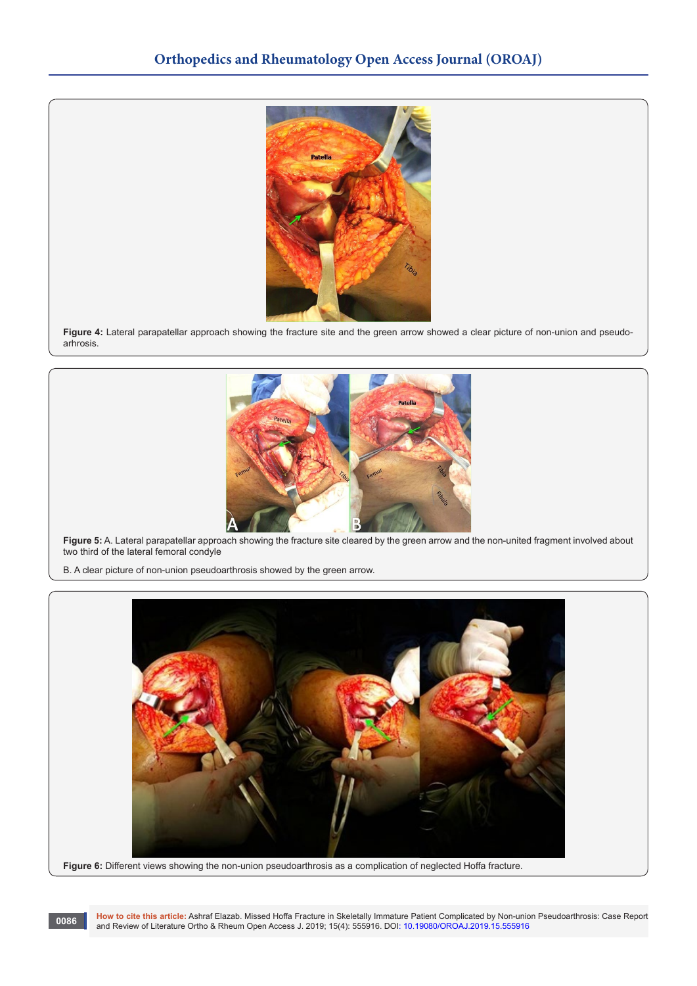

**Figure 4:** Lateral parapatellar approach showing the fracture site and the green arrow showed a clear picture of non-union and pseudoarhrosis.



**Figure 5:** A. Lateral parapatellar approach showing the fracture site cleared by the green arrow and the non-united fragment involved about two third of the lateral femoral condyle

B. A clear picture of non-union pseudoarthrosis showed by the green arrow.



**Figure 6:** Different views showing the non-union pseudoarthrosis as a complication of neglected Hoffa fracture.

**How to cite this article:** Ashraf Elazab. Missed Hoffa Fracture in Skeletally Immature Patient Complicated by Non-union Pseudoarthrosis: Case Report and Review of Literature: Ashraf Elazab. Missed Hoffa Fracture in Skeletally Immature Patient Complicated by Non-unio<br>and Review of Literature Ortho & Rheum Open Access J. 2019; 15(4): 555916. DOI: 10.19080/OROAJ.2019.15.5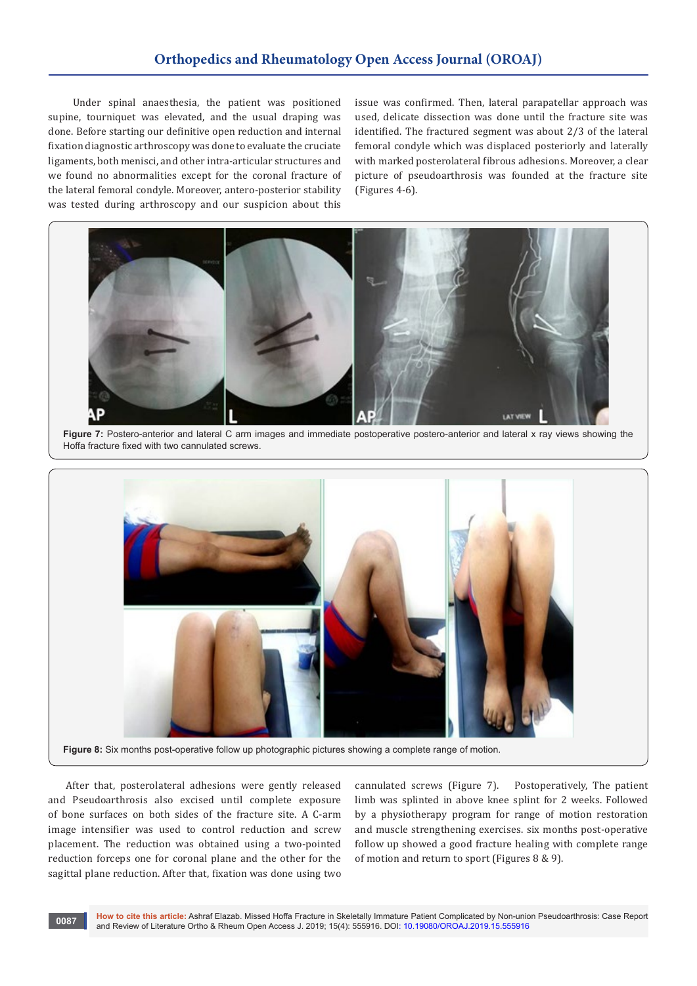# **Orthopedics and Rheumatology Open Access Journal (OROAJ)**

 Under spinal anaesthesia, the patient was positioned supine, tourniquet was elevated, and the usual draping was done. Before starting our definitive open reduction and internal fixation diagnostic arthroscopy was done to evaluate the cruciate ligaments, both menisci, and other intra-articular structures and we found no abnormalities except for the coronal fracture of the lateral femoral condyle. Moreover, antero-posterior stability was tested during arthroscopy and our suspicion about this

issue was confirmed. Then, lateral parapatellar approach was used, delicate dissection was done until the fracture site was identified. The fractured segment was about 2/3 of the lateral femoral condyle which was displaced posteriorly and laterally with marked posterolateral fibrous adhesions. Moreover, a clear picture of pseudoarthrosis was founded at the fracture site (Figures 4-6).



**Figure 7:** Postero-anterior and lateral C arm images and immediate postoperative postero-anterior and lateral x ray views showing the Hoffa fracture fixed with two cannulated screws.



After that, posterolateral adhesions were gently released and Pseudoarthrosis also excised until complete exposure of bone surfaces on both sides of the fracture site. A C-arm image intensifier was used to control reduction and screw placement. The reduction was obtained using a two-pointed reduction forceps one for coronal plane and the other for the sagittal plane reduction. After that, fixation was done using two

cannulated screws (Figure 7). Postoperatively, The patient limb was splinted in above knee splint for 2 weeks. Followed by a physiotherapy program for range of motion restoration and muscle strengthening exercises. six months post-operative follow up showed a good fracture healing with complete range of motion and return to sport (Figures 8 & 9).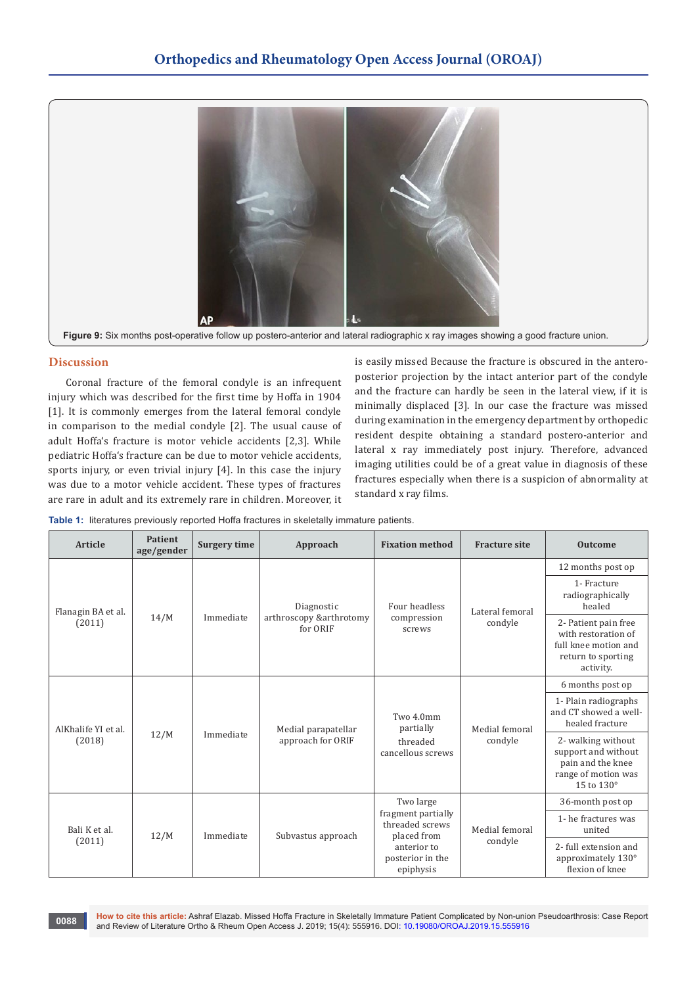

#### **Discussion**

Coronal fracture of the femoral condyle is an infrequent injury which was described for the first time by Hoffa in 1904 [1]. It is commonly emerges from the lateral femoral condyle in comparison to the medial condyle [2]. The usual cause of adult Hoffa's fracture is motor vehicle accidents [2,3]. While pediatric Hoffa's fracture can be due to motor vehicle accidents, sports injury, or even trivial injury [4]. In this case the injury was due to a motor vehicle accident. These types of fractures are rare in adult and its extremely rare in children. Moreover, it is easily missed Because the fracture is obscured in the anteroposterior projection by the intact anterior part of the condyle and the fracture can hardly be seen in the lateral view, if it is minimally displaced [3]. In our case the fracture was missed during examination in the emergency department by orthopedic resident despite obtaining a standard postero-anterior and lateral x ray immediately post injury. Therefore, advanced imaging utilities could be of a great value in diagnosis of these fractures especially when there is a suspicion of abnormality at standard x ray films.

|  |  |  |  |  |  | Table 1: literatures previously reported Hoffa fractures in skeletally immature patients. |
|--|--|--|--|--|--|-------------------------------------------------------------------------------------------|
|--|--|--|--|--|--|-------------------------------------------------------------------------------------------|

| Article                       | <b>Patient</b><br>age/gender | <b>Surgery time</b> | Approach                                          | <b>Fixation method</b>                                                                                            | <b>Fracture site</b>       | <b>Outcome</b>                                                                                         |
|-------------------------------|------------------------------|---------------------|---------------------------------------------------|-------------------------------------------------------------------------------------------------------------------|----------------------------|--------------------------------------------------------------------------------------------------------|
| Flanagin BA et al.<br>(2011)  | 14/M                         | Immediate           | Diagnostic<br>arthroscopy &arthrotomy<br>for ORIF | Four headless<br>compression<br>screws                                                                            | Lateral femoral<br>condyle | 12 months post op                                                                                      |
|                               |                              |                     |                                                   |                                                                                                                   |                            | 1- Fracture<br>radiographically<br>healed                                                              |
|                               |                              |                     |                                                   |                                                                                                                   |                            | 2- Patient pain free<br>with restoration of<br>full knee motion and<br>return to sporting<br>activity. |
| AlKhalife YI et al.<br>(2018) | 12/M                         | Immediate           | Medial parapatellar<br>approach for ORIF          | Two 4.0mm<br>partially<br>threaded<br>cancellous screws                                                           | Medial femoral<br>condyle  | 6 months post op                                                                                       |
|                               |                              |                     |                                                   |                                                                                                                   |                            | 1- Plain radiographs<br>and CT showed a well-<br>healed fracture                                       |
|                               |                              |                     |                                                   |                                                                                                                   |                            | 2- walking without<br>support and without<br>pain and the knee<br>range of motion was<br>15 to 130°    |
|                               | 12/M                         | Immediate           | Subvastus approach                                | Two large<br>fragment partially<br>threaded screws<br>placed from<br>anterior to<br>posterior in the<br>epiphysis | Medial femoral<br>condyle  | 36-month post op                                                                                       |
| Bali K et al.                 |                              |                     |                                                   |                                                                                                                   |                            | 1- he fractures was<br>united                                                                          |
| (2011)                        |                              |                     |                                                   |                                                                                                                   |                            | 2- full extension and<br>approximately 130°<br>flexion of knee                                         |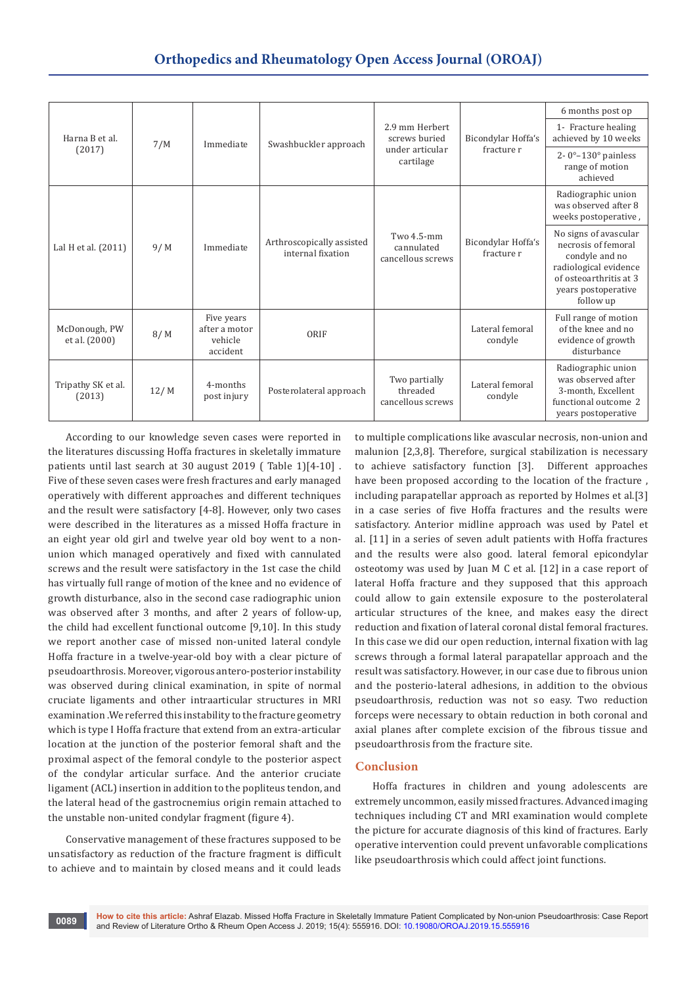| Harna B et al.<br>(2017)       | 7/M  | Immediate                                          | Swashbuckler approach                          | 2.9 mm Herbert<br>screws buried<br>under articular<br>cartilage | Bicondylar Hoffa's<br>fracture r | 6 months post op                                                                                                                                      |
|--------------------------------|------|----------------------------------------------------|------------------------------------------------|-----------------------------------------------------------------|----------------------------------|-------------------------------------------------------------------------------------------------------------------------------------------------------|
|                                |      |                                                    |                                                |                                                                 |                                  | 1- Fracture healing<br>achieved by 10 weeks                                                                                                           |
|                                |      |                                                    |                                                |                                                                 |                                  | 2- $0^\circ$ –130 $^\circ$ painless<br>range of motion<br>achieved                                                                                    |
|                                |      |                                                    |                                                |                                                                 |                                  | Radiographic union<br>was observed after 8<br>weeks postoperative,                                                                                    |
| Lal H et al. (2011)            | 9/M  | Immediate                                          | Arthroscopically assisted<br>internal fixation | Two 4.5-mm<br>cannulated<br>cancellous screws                   | Bicondylar Hoffa's<br>fracture r | No signs of avascular<br>necrosis of femoral<br>condyle and no<br>radiological evidence<br>of osteoarthritis at 3<br>years postoperative<br>follow up |
| McDonough, PW<br>et al. (2000) | 8/M  | Five years<br>after a motor<br>vehicle<br>accident | ORIF                                           |                                                                 | Lateral femoral<br>condyle       | Full range of motion<br>of the knee and no<br>evidence of growth<br>disturbance                                                                       |
| Tripathy SK et al.<br>(2013)   | 12/M | 4-months<br>post injury                            | Posterolateral approach                        | Two partially<br>threaded<br>cancellous screws                  | Lateral femoral<br>condyle       | Radiographic union<br>was observed after<br>3-month, Excellent<br>functional outcome 2<br>years postoperative                                         |

According to our knowledge seven cases were reported in the literatures discussing Hoffa fractures in skeletally immature patients until last search at 30 august 2019 ( Table 1)[4-10] . Five of these seven cases were fresh fractures and early managed operatively with different approaches and different techniques and the result were satisfactory [4-8]. However, only two cases were described in the literatures as a missed Hoffa fracture in an eight year old girl and twelve year old boy went to a nonunion which managed operatively and fixed with cannulated screws and the result were satisfactory in the 1st case the child has virtually full range of motion of the knee and no evidence of growth disturbance, also in the second case radiographic union was observed after 3 months, and after 2 years of follow-up, the child had excellent functional outcome [9,10]. In this study we report another case of missed non-united lateral condyle Hoffa fracture in a twelve-year-old boy with a clear picture of pseudoarthrosis. Moreover, vigorous antero-posterior instability was observed during clinical examination, in spite of normal cruciate ligaments and other intraarticular structures in MRI examination .We referred this instability to the fracture geometry which is type I Hoffa fracture that extend from an extra-articular location at the junction of the posterior femoral shaft and the proximal aspect of the femoral condyle to the posterior aspect of the condylar articular surface. And the anterior cruciate ligament (ACL) insertion in addition to the popliteus tendon, and the lateral head of the gastrocnemius origin remain attached to the unstable non-united condylar fragment (figure 4).

Conservative management of these fractures supposed to be unsatisfactory as reduction of the fracture fragment is difficult to achieve and to maintain by closed means and it could leads

to multiple complications like avascular necrosis, non-union and malunion [2,3,8]. Therefore, surgical stabilization is necessary to achieve satisfactory function [3]. Different approaches have been proposed according to the location of the fracture , including parapatellar approach as reported by Holmes et al.[3] in a case series of five Hoffa fractures and the results were satisfactory. Anterior midline approach was used by Patel et al. [11] in a series of seven adult patients with Hoffa fractures and the results were also good. lateral femoral epicondylar osteotomy was used by Juan M C et al. [12] in a case report of lateral Hoffa fracture and they supposed that this approach could allow to gain extensile exposure to the posterolateral articular structures of the knee, and makes easy the direct reduction and fixation of lateral coronal distal femoral fractures. In this case we did our open reduction, internal fixation with lag screws through a formal lateral parapatellar approach and the result was satisfactory. However, in our case due to fibrous union and the posterio-lateral adhesions, in addition to the obvious pseudoarthrosis, reduction was not so easy. Two reduction forceps were necessary to obtain reduction in both coronal and axial planes after complete excision of the fibrous tissue and pseudoarthrosis from the fracture site.

# **Conclusion**

Hoffa fractures in children and young adolescents are extremely uncommon, easily missed fractures. Advanced imaging techniques including CT and MRI examination would complete the picture for accurate diagnosis of this kind of fractures. Early operative intervention could prevent unfavorable complications like pseudoarthrosis which could affect joint functions.